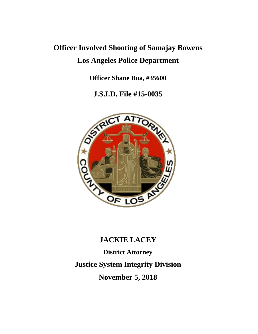# **Officer Involved Shooting of Samajay Bowens Los Angeles Police Department**

**Officer Shane Bua, #35600**

**J.S.I.D. File #15-0035**



# **JACKIE LACEY**

**District Attorney Justice System Integrity Division November 5, 2018**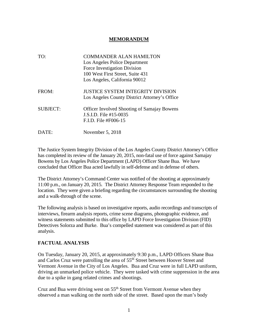#### **MEMORANDUM**

| TO:             | <b>COMMANDER ALAN HAMILTON</b>                     |  |
|-----------------|----------------------------------------------------|--|
|                 | Los Angeles Police Department                      |  |
|                 | Force Investigation Division                       |  |
|                 | 100 West First Street, Suite 431                   |  |
|                 | Los Angeles, California 90012                      |  |
| FROM:           | <b>JUSTICE SYSTEM INTEGRITY DIVISION</b>           |  |
|                 | Los Angeles County District Attorney's Office      |  |
| <b>SUBJECT:</b> | <b>Officer Involved Shooting of Samajay Bowens</b> |  |
|                 | J.S.I.D. File #15-0035                             |  |
|                 | F.I.D. File #F006-15                               |  |
| DATE:           | November 5, 2018                                   |  |

The Justice System Integrity Division of the Los Angeles County District Attorney's Office has completed its review of the January 20, 2015, non-fatal use of force against Samajay Bowens by Los Angeles Police Department (LAPD) Officer Shane Bua. We have concluded that Officer Bua acted lawfully in self-defense and in defense of others.

The District Attorney's Command Center was notified of the shooting at approximately 11:00 p.m., on January 20, 2015. The District Attorney Response Team responded to the location. They were given a briefing regarding the circumstances surrounding the shooting and a walk-through of the scene.

The following analysis is based on investigative reports, audio recordings and transcripts of interviews, firearm analysis reports, crime scene diagrams, photographic evidence, and witness statements submitted to this office by LAPD Force Investigation Division (FID) Detectives Solorza and Burke. Bua's compelled statement was considered as part of this analysis.

## **FACTUAL ANALYSIS**

On Tuesday, January 20, 2015, at approximately 9:30 p.m., LAPD Officers Shane Bua and Carlos Cruz were patrolling the area of 55th Street between Hoover Street and Vermont Avenue in the City of Los Angeles. Bua and Cruz were in full LAPD uniform, driving an unmarked police vehicle. They were tasked with crime suppression in the area due to a spike in gang related crimes and shootings.

Cruz and Bua were driving west on  $55<sup>th</sup>$  Street from Vermont Avenue when they observed a man walking on the north side of the street. Based upon the man's body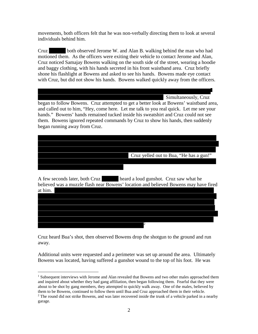movements, both officers felt that he was non-verbally directing them to look at several individuals behind him.

Cruz both observed Jerome W. and Alan B. walking behind the man who had motioned them. As the officers were exiting their vehicle to contact Jerome and Alan, Cruz noticed Samajay Bowens walking on the south side of the street, wearing a hoodie and baggy clothing, with his hands secreted in his front waistband area. Cruz briefly shone his flashlight at Bowens and asked to see his hands. Bowens made eye contact with Cruz, but did not show his hands. Bowens walked quickly away from the officers.

Simultaneously, Cruz began to follow Bowens. Cruz attempted to get a better look at Bowens' waistband area, and called out to him, "Hey, come here. Let me talk to you real quick. Let me see your hands." Bowens' hands remained tucked inside his sweatshirt and Cruz could not see them. Bowens ignored repeated commands by Cruz to show his hands, then suddenly began running away from Cruz.

Cruz yelled out to Bua, "He has a gun!"

A few seconds later, both Cruz heard a loud gunshot. Cruz saw what he believed was a muzzle flash near Bowens' location and believed Bowens may have fired at him.

Cruz heard Bua's shot, then observed Bowens drop the shotgun to the ground and run away.

Additional units were requested and a perimeter was set up around the area. Ultimately Bowens was located, having suffered a gunshot wound to the top of his foot. He was

<sup>1</sup> Subsequent interviews with Jerome and Alan revealed that Bowens and two other males approached them and inquired about whether they had gang affiliation, then began following them. Fearful that they were about to be shot by gang members, they attempted to quickly walk away. One of the males, believed by them to be Bowens, continued to follow them until Bua and Cruz approached them in their vehicle.  $2$  The round did not strike Bowens, and was later recovered inside the trunk of a vehicle parked in a nearby garage.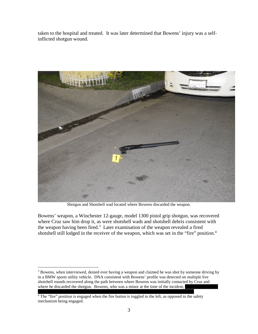taken to the hospital and treated. It was later determined that Bowens' injury was a selfinflicted shotgun wound.



Shotgun and Shotshell wad located where Bowens discarded the weapon.

Bowens' weapon, a Winchester 12-gauge, model 1300 pistol grip shotgun, was recovered where Cruz saw him drop it, as were shotshell wads and shotshell debris consistent with the weapon having been fired.<sup>3</sup> Later examination of the weapon revealed a fired shotshell still lodged in the receiver of the weapon, which was set in the "fire" position.<sup>4</sup>

<sup>&</sup>lt;sup>3</sup> Bowens, when interviewed, denied ever having a weapon and claimed he was shot by someone driving by in a BMW sports utility vehicle. DNA consistent with Bowens' profile was detected on multiple live shotshell rounds recovered along the path between where Bowens was initially contacted by Cruz and where he discarded the shotgun. Bowens, who was a minor at the time of the incident,

 $\frac{4}{4}$  The "fire" position is engaged when the fire button is toggled to the left, as opposed to the safety mechanism being engaged.